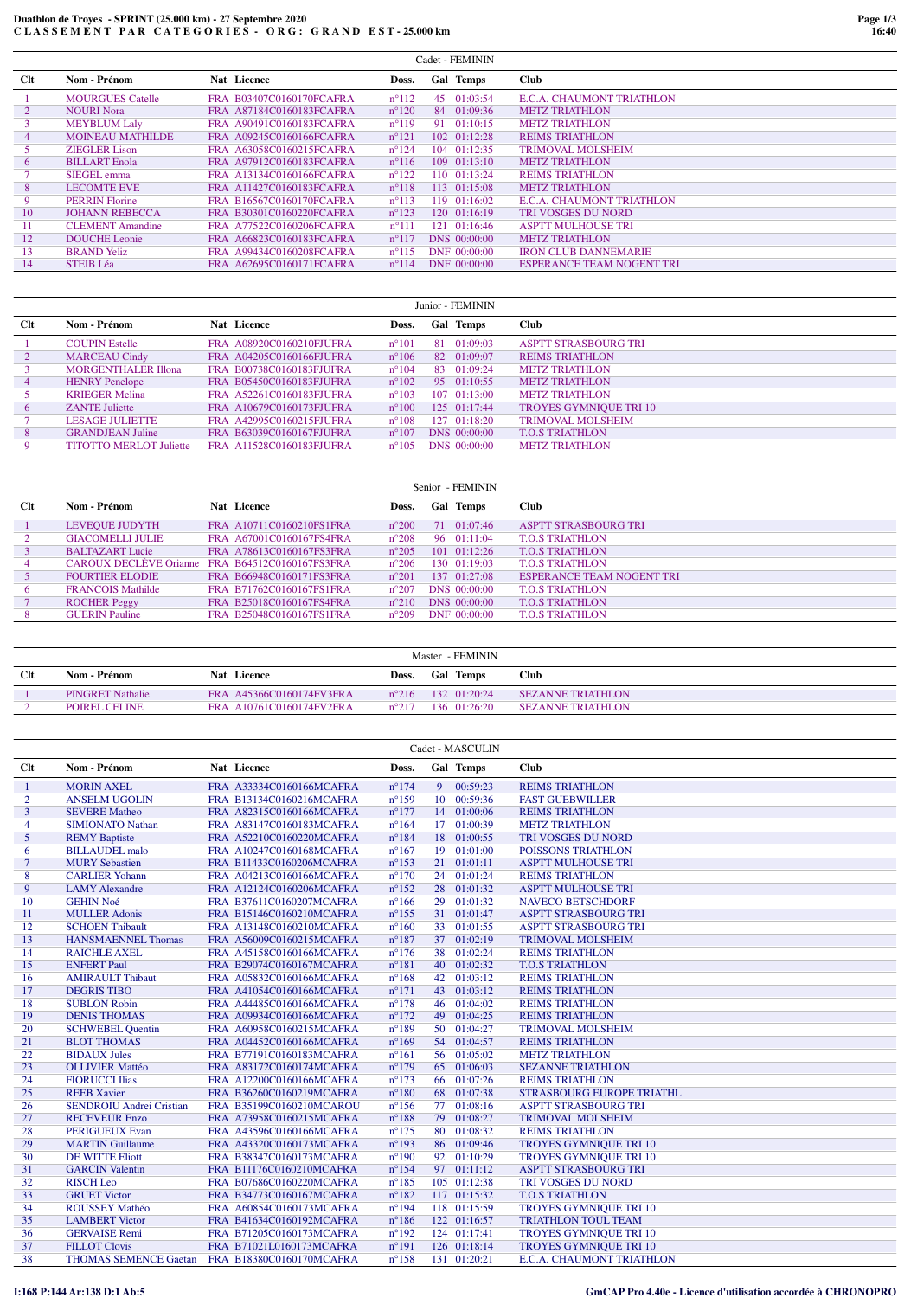## Duathlon de Troyes - SPRINT (25.000 km) - 27 Septembre 2020<br>CLASSEMENT PAR CATEGORIES - ORG: GRAND EST - 25.000 km

|                |                         |                          |                | Cadet - FEMININ |                                  |
|----------------|-------------------------|--------------------------|----------------|-----------------|----------------------------------|
| <b>Clt</b>     | Nom - Prénom            | Nat Licence              | Doss.          | Gal Temps       | <b>Club</b>                      |
|                | <b>MOURGUES Catelle</b> | FRA B03407C0160170FCAFRA | $n^{\circ}112$ | 45 01:03:54     | E.C.A. CHAUMONT TRIATHLON        |
| $\overline{2}$ | <b>NOURI Nora</b>       | FRA A87184C0160183FCAFRA | $n^{\circ}120$ | 84 01:09:36     | <b>METZ TRIATHLON</b>            |
|                | <b>MEYBLUM Laly</b>     | FRA A90491C0160183FCAFRA | $n^{\circ}119$ | 91 01:10:15     | <b>METZ TRIATHLON</b>            |
| $\overline{4}$ | <b>MOINEAU MATHILDE</b> | FRA A09245C0160166FCAFRA | $n^{\circ}121$ | 102 01:12:28    | <b>REIMS TRIATHLON</b>           |
|                | <b>ZIEGLER Lison</b>    | FRA A63058C0160215FCAFRA | $n^{\circ}124$ | 104 01:12:35    | <b>TRIMOVAL MOLSHEIM</b>         |
| 6              | <b>BILLART</b> Enola    | FRA A97912C0160183FCAFRA | $n^{\circ}116$ | 109 01:13:10    | <b>METZ TRIATHLON</b>            |
|                | SIEGEL emma             | FRA A13134C0160166FCAFRA | $n^{\circ}122$ | 110 01:13:24    | <b>REIMS TRIATHLON</b>           |
| 8              | <b>LECOMTE EVE</b>      | FRA A11427C0160183FCAFRA | $n^{\circ}118$ | 113 01:15:08    | <b>METZ TRIATHLON</b>            |
| 9              | <b>PERRIN Florine</b>   | FRA B16567C0160170FCAFRA | $n^{\circ}113$ | 119 01:16:02    | E.C.A. CHAUMONT TRIATHLON        |
| 10             | <b>JOHANN REBECCA</b>   | FRA B30301C0160220FCAFRA | $n^{\circ}123$ | 120 01:16:19    | <b>TRI VOSGES DU NORD</b>        |
| 11             | <b>CLEMENT</b> Amandine | FRA A77522C0160206FCAFRA | $n^{\circ}111$ | 121 01:16:46    | <b>ASPTT MULHOUSE TRI</b>        |
| 12             | <b>DOUCHE</b> Leonie    | FRA A66823C0160183FCAFRA | $n^{\circ}117$ | DNS 00:00:00    | <b>METZ TRIATHLON</b>            |
| 13             | <b>BRAND Yeliz</b>      | FRA A99434C0160208FCAFRA | $n^{\circ}115$ | DNF 00:00:00    | <b>IRON CLUB DANNEMARIE</b>      |
| 14             | <b>STEIB</b> Léa        | FRA A62695C0160171FCAFRA | $n^{\circ}114$ | DNF 00:00:00    | <b>ESPERANCE TEAM NOGENT TRI</b> |
|                |                         |                          |                |                 |                                  |

| $_{\rm Clt}$<br>Nom - Prénom<br>Nat Licence<br>Club<br>Gal Temps<br>Doss.<br>81 01:09:03<br><b>COUPIN Estelle</b><br>FRA A08920C0160210FJUFRA<br>$n^{\circ}101$<br><b>ASPTT STRASBOURG TRI</b><br>82 01:09:07<br><b>REIMS TRIATHLON</b><br><b>MARCEAU Cindy</b><br>$n^{\circ}106$<br>FRA A04205C0160166FJUFRA<br>$\mathbf{2}$<br><b>MORGENTHALER Illona</b><br>83 01:09:24<br>FRA B00738C0160183FJUFRA<br>$n^{\circ}104$<br><b>METZ TRIATHLON</b><br>95 01:10:55<br><b>HENRY</b> Penelope<br>FRA B05450C0160183FJUFRA<br>$n^{\circ}102$<br><b>METZ TRIATHLON</b><br>4<br>107 01:13:00<br><b>KRIEGER Melina</b><br>$n^{\circ}103$<br><b>METZ TRIATHLON</b><br>FRA A52261C0160183FIUFRA<br><b>TROYES GYMNIQUE TRI 10</b><br>125 01:17:44<br>$n^{\circ}100$<br><b>ZANTE</b> Juliette<br>FRA A10679C0160173FIUFRA<br>6<br>127 01:18:20<br><b>TRIMOVAL MOLSHEIM</b><br><b>LESAGE JULIETTE</b><br>FRA A42995C0160215FJUFRA<br>$n^{\circ}108$ |   |                         |                          |                | Junior - FEMININ |                        |
|----------------------------------------------------------------------------------------------------------------------------------------------------------------------------------------------------------------------------------------------------------------------------------------------------------------------------------------------------------------------------------------------------------------------------------------------------------------------------------------------------------------------------------------------------------------------------------------------------------------------------------------------------------------------------------------------------------------------------------------------------------------------------------------------------------------------------------------------------------------------------------------------------------------------------------------|---|-------------------------|--------------------------|----------------|------------------|------------------------|
|                                                                                                                                                                                                                                                                                                                                                                                                                                                                                                                                                                                                                                                                                                                                                                                                                                                                                                                                        |   |                         |                          |                |                  |                        |
|                                                                                                                                                                                                                                                                                                                                                                                                                                                                                                                                                                                                                                                                                                                                                                                                                                                                                                                                        |   |                         |                          |                |                  |                        |
|                                                                                                                                                                                                                                                                                                                                                                                                                                                                                                                                                                                                                                                                                                                                                                                                                                                                                                                                        |   |                         |                          |                |                  |                        |
|                                                                                                                                                                                                                                                                                                                                                                                                                                                                                                                                                                                                                                                                                                                                                                                                                                                                                                                                        |   |                         |                          |                |                  |                        |
|                                                                                                                                                                                                                                                                                                                                                                                                                                                                                                                                                                                                                                                                                                                                                                                                                                                                                                                                        |   |                         |                          |                |                  |                        |
|                                                                                                                                                                                                                                                                                                                                                                                                                                                                                                                                                                                                                                                                                                                                                                                                                                                                                                                                        |   |                         |                          |                |                  |                        |
|                                                                                                                                                                                                                                                                                                                                                                                                                                                                                                                                                                                                                                                                                                                                                                                                                                                                                                                                        |   |                         |                          |                |                  |                        |
|                                                                                                                                                                                                                                                                                                                                                                                                                                                                                                                                                                                                                                                                                                                                                                                                                                                                                                                                        |   |                         |                          |                |                  |                        |
|                                                                                                                                                                                                                                                                                                                                                                                                                                                                                                                                                                                                                                                                                                                                                                                                                                                                                                                                        | 8 | <b>GRANDJEAN Juline</b> | FRA B63039C0160167FJUFRA | $n^{\circ}107$ | DNS 00:00:00     | <b>T.O.S TRIATHLON</b> |
| <b>TITOTTO MERLOT Juliette</b><br>FRA A11528C0160183FJUFRA<br>DNS 00:00:00<br><b>METZ TRIATHLON</b><br>9<br>$n^{\circ}105$                                                                                                                                                                                                                                                                                                                                                                                                                                                                                                                                                                                                                                                                                                                                                                                                             |   |                         |                          |                |                  |                        |

|            | Senior - FEMININ              |                          |                |                      |                             |  |  |  |
|------------|-------------------------------|--------------------------|----------------|----------------------|-----------------------------|--|--|--|
| <b>Clt</b> | Nom - Prénom                  | Nat Licence              | Doss.          | Gal Temps            | <b>Club</b>                 |  |  |  |
|            | LEVEQUE JUDYTH                | FRA A10711C0160210FS1FRA | $n^{\circ}200$ | 71 01:07:46          | <b>ASPTT STRASBOURG TRI</b> |  |  |  |
|            | <b>GIACOMELLI JULIE</b>       | FRA A67001C0160167FS4FRA | $n^{\circ}208$ | 96 01:11:04          | <b>T.O.S TRIATHLON</b>      |  |  |  |
|            | <b>BALTAZART Lucie</b>        | FRA A78613C0160167FS3FRA | $n^{\circ}205$ | $101 \quad 01:12:26$ | <b>T.O.S TRIATHLON</b>      |  |  |  |
| 4          | <b>CAROUX DECLÈVE Orianne</b> | FRA B64512C0160167FS3FRA | $n^{\circ}206$ | 130 01:19:03         | <b>T.O.S TRIATHLON</b>      |  |  |  |
|            | <b>FOURTIER ELODIE</b>        | FRA B66948C0160171FS3FRA | $n^{\circ}201$ | $137 \quad 01:27:08$ | ESPER ANCE TEAM NOGENT TRI  |  |  |  |
| 6          | <b>FRANCOIS Mathilde</b>      | FRA B71762C0160167FS1FRA | $n^{\circ}207$ | DNS 00:00:00         | <b>T.O.S TRIATHLON</b>      |  |  |  |
|            | <b>ROCHER Peggy</b>           | FRA B25018C0160167FS4FRA | $n^{\circ}210$ | DNS 00:00:00         | <b>T.O.S TRIATHLON</b>      |  |  |  |
|            | <b>GUERIN</b> Pauline         | FRA B25048C0160167FS1FRA | $n^{\circ}209$ | DNF 00:00:00         | <b>T.O.S TRIATHLON</b>      |  |  |  |

|            | Master - FEMININ        |                          |                 |                      |                          |  |  |  |
|------------|-------------------------|--------------------------|-----------------|----------------------|--------------------------|--|--|--|
| <b>Clt</b> | Nom - Prénom            | <b>Nat Licence</b>       | Doss.           | <b>Gal Temps</b>     | Club                     |  |  |  |
|            | <b>PINGRET Nathalie</b> | FRA A45366C0160174FV3FRA | $n^{\circ}216$  | $132 \quad 01:20:24$ | <b>SEZANNE TRIATHLON</b> |  |  |  |
|            | POIREL CELINE           | FRA A10761C0160174FV2FRA | $n^{\circ}$ 217 | 136.01:26:20.        | <b>SEZANNE TRIATHLON</b> |  |  |  |

|                | Cadet - MASCULIN                               |  |                          |                |                |              |                               |  |  |
|----------------|------------------------------------------------|--|--------------------------|----------------|----------------|--------------|-------------------------------|--|--|
| <b>Clt</b>     | Nom - Prénom                                   |  | Nat Licence              | Doss.          |                | Gal Temps    | Club                          |  |  |
| $\mathbf{1}$   | <b>MORIN AXEL</b>                              |  | FRA A33334C0160166MCAFRA | $n^{\circ}174$ | 9 <sup>°</sup> | 00:59:23     | <b>REIMS TRIATHLON</b>        |  |  |
| $\overline{2}$ | <b>ANSELM UGOLIN</b>                           |  | FRA B13134C0160216MCAFRA | $n^{\circ}159$ |                | 10 00:59:36  | <b>FAST GUEBWILLER</b>        |  |  |
| 3              | <b>SEVERE Matheo</b>                           |  | FRA A82315C0160166MCAFRA | $n^{\circ}177$ |                | 14 01:00:06  | <b>REIMS TRIATHLON</b>        |  |  |
| 4              | <b>SIMIONATO Nathan</b>                        |  | FRA A83147C0160183MCAFRA | $n^{\circ}164$ |                | 17 01:00:39  | <b>METZ TRIATHLON</b>         |  |  |
| 5              | <b>REMY Baptiste</b>                           |  | FRA A52210C0160220MCAFRA | $n^{\circ}184$ |                | 18 01:00:55  | TRI VOSGES DU NORD            |  |  |
| 6              | <b>BILLAUDEL</b> malo                          |  | FRA A10247C0160168MCAFRA | $n^{\circ}167$ |                | 19 01:01:00  | POISSONS TRIATHLON            |  |  |
| $\tau$         | <b>MURY Sebastien</b>                          |  | FRA B11433C0160206MCAFRA | $n^{\circ}153$ |                | 21 01:01:11  | <b>ASPTT MULHOUSE TRI</b>     |  |  |
| 8              | <b>CARLIER Yohann</b>                          |  | FRA A04213C0160166MCAFRA | $n^{\circ}170$ |                | 24 01:01:24  | <b>REIMS TRIATHLON</b>        |  |  |
| 9              | <b>LAMY</b> Alexandre                          |  | FRA A12124C0160206MCAFRA | $n^{\circ}152$ |                | 28 01:01:32  | <b>ASPTT MULHOUSE TRI</b>     |  |  |
| 10             | <b>GEHIN Noé</b>                               |  | FRA B37611C0160207MCAFRA | $n^{\circ}166$ |                | 29 01:01:32  | <b>NAVECO BETSCHDORF</b>      |  |  |
| 11             | <b>MULLER Adonis</b>                           |  | FRA B15146C0160210MCAFRA | $n^{\circ}155$ |                | 31 01:01:47  | <b>ASPTT STRASBOURG TRI</b>   |  |  |
| 12             | <b>SCHOEN Thibault</b>                         |  | FRA A13148C0160210MCAFRA | $n^{\circ}160$ |                | 33 01:01:55  | <b>ASPTT STRASBOURG TRI</b>   |  |  |
| 13             | <b>HANSMAENNEL Thomas</b>                      |  | FRA A56009C0160215MCAFRA | $n^{\circ}187$ |                | 37 01:02:19  | <b>TRIMOVAL MOLSHEIM</b>      |  |  |
| 14             | <b>RAICHLE AXEL</b>                            |  | FRA A45158C0160166MCAFRA | $n^{\circ}176$ |                | 38 01:02:24  | <b>REIMS TRIATHLON</b>        |  |  |
| 15             | <b>ENFERT Paul</b>                             |  | FRA B29074C0160167MCAFRA | $n^{\circ}181$ |                | 40 01:02:32  | <b>T.O.S TRIATHLON</b>        |  |  |
| 16             | <b>AMIRAULT Thibaut</b>                        |  | FRA A05832C0160166MCAFRA | $n^{\circ}168$ |                | 42 01:03:12  | <b>REIMS TRIATHLON</b>        |  |  |
| 17             | <b>DEGRIS TIBO</b>                             |  | FRA A41054C0160166MCAFRA | $n^{\circ}171$ |                | 43 01:03:12  | <b>REIMS TRIATHLON</b>        |  |  |
| 18             | <b>SUBLON Robin</b>                            |  | FRA A44485C0160166MCAFRA | $n^{\circ}178$ |                | 46 01:04:02  | <b>REIMS TRIATHLON</b>        |  |  |
| 19             | <b>DENIS THOMAS</b>                            |  | FRA A09934C0160166MCAFRA | $n^{\circ}172$ |                | 49 01:04:25  | <b>REIMS TRIATHLON</b>        |  |  |
| 20             | <b>SCHWEBEL Quentin</b>                        |  | FRA A60958C0160215MCAFRA | $n^{\circ}189$ |                | 50 01:04:27  | <b>TRIMOVAL MOLSHEIM</b>      |  |  |
| 21             | <b>BLOT THOMAS</b>                             |  | FRA A04452C0160166MCAFRA | $n^{\circ}169$ |                | 54 01:04:57  | <b>REIMS TRIATHLON</b>        |  |  |
| 22             | <b>BIDAUX Jules</b>                            |  | FRA B77191C0160183MCAFRA | $n^{\circ}161$ |                | 56 01:05:02  | <b>METZ TRIATHLON</b>         |  |  |
| 23             | <b>OLLIVIER Mattéo</b>                         |  | FRA A83172C0160174MCAFRA | $n^{\circ}179$ |                | 65 01:06:03  | <b>SEZANNE TRIATHLON</b>      |  |  |
| 24             | <b>FIORUCCI Ilias</b>                          |  | FRA A12200C0160166MCAFRA | $n^{\circ}173$ |                | 66 01:07:26  | <b>REIMS TRIATHLON</b>        |  |  |
| 25             | <b>REEB Xavier</b>                             |  | FRA B36260C0160219MCAFRA | $n^{\circ}180$ |                | 68 01:07:38  | STRASBOURG EUROPE TRIATHL     |  |  |
| 26             | <b>SENDROIU Andrei Cristian</b>                |  | FRA B35199C0160210MCAROU | $n^{\circ}156$ |                | 77 01:08:16  | <b>ASPTT STRASBOURG TRI</b>   |  |  |
| 27             | <b>RECEVEUR Enzo</b>                           |  | FRA A73958C0160215MCAFRA | $n^{\circ}188$ |                | 79 01:08:27  | <b>TRIMOVAL MOLSHEIM</b>      |  |  |
| 28             | <b>PERIGUEUX Evan</b>                          |  | FRA A43596C0160166MCAFRA | $n^{\circ}175$ |                | 80 01:08:32  | <b>REIMS TRIATHLON</b>        |  |  |
| 29             | <b>MARTIN Guillaume</b>                        |  | FRA A43320C0160173MCAFRA | $n^{\circ}193$ |                | 86 01:09:46  | TROYES GYMNIQUE TRI 10        |  |  |
| 30             | <b>DE WITTE Eliott</b>                         |  | FRA B38347C0160173MCAFRA | $n^{\circ}190$ |                | 92 01:10:29  | TROYES GYMNIQUE TRI 10        |  |  |
| 31             | <b>GARCIN Valentin</b>                         |  | FRA B11176C0160210MCAFRA | $n^{\circ}154$ |                | 97 01:11:12  | <b>ASPTT STRASBOURG TRI</b>   |  |  |
| 32             | <b>RISCH</b> Leo                               |  | FRA B07686C0160220MCAFRA | $n^{\circ}185$ |                | 105 01:12:38 | <b>TRI VOSGES DU NORD</b>     |  |  |
| 33             | <b>GRUET Victor</b>                            |  | FRA B34773C0160167MCAFRA | $n^{\circ}182$ |                | 117 01:15:32 | <b>T.O.S TRIATHLON</b>        |  |  |
| 34             | ROUSSEY Mathéo                                 |  | FRA A60854C0160173MCAFRA | $n^{\circ}194$ |                | 118 01:15:59 | TROYES GYMNIQUE TRI 10        |  |  |
| 35             | <b>LAMBERT</b> Victor                          |  | FRA B41634C0160192MCAFRA | $n^{\circ}186$ |                | 122 01:16:57 | <b>TRIATHLON TOUL TEAM</b>    |  |  |
| 36             | <b>GERVAISE Remi</b>                           |  | FRA B71205C0160173MCAFRA | $n^{\circ}192$ |                | 124 01:17:41 | <b>TROYES GYMNIQUE TRI 10</b> |  |  |
| 37             | <b>FILLOT Clovis</b>                           |  | FRA B71021L0160173MCAFRA | $n^{\circ}191$ |                | 126 01:18:14 | <b>TROYES GYMNIQUE TRI 10</b> |  |  |
| 38             | THOMAS SEMENCE Gaetan FRA B18380C0160170MCAFRA |  |                          | $n^{\circ}158$ |                | 131 01:20:21 | E.C.A. CHAUMONT TRIATHLON     |  |  |

## I:168 P:144 Ar:138 D:1 Ab:5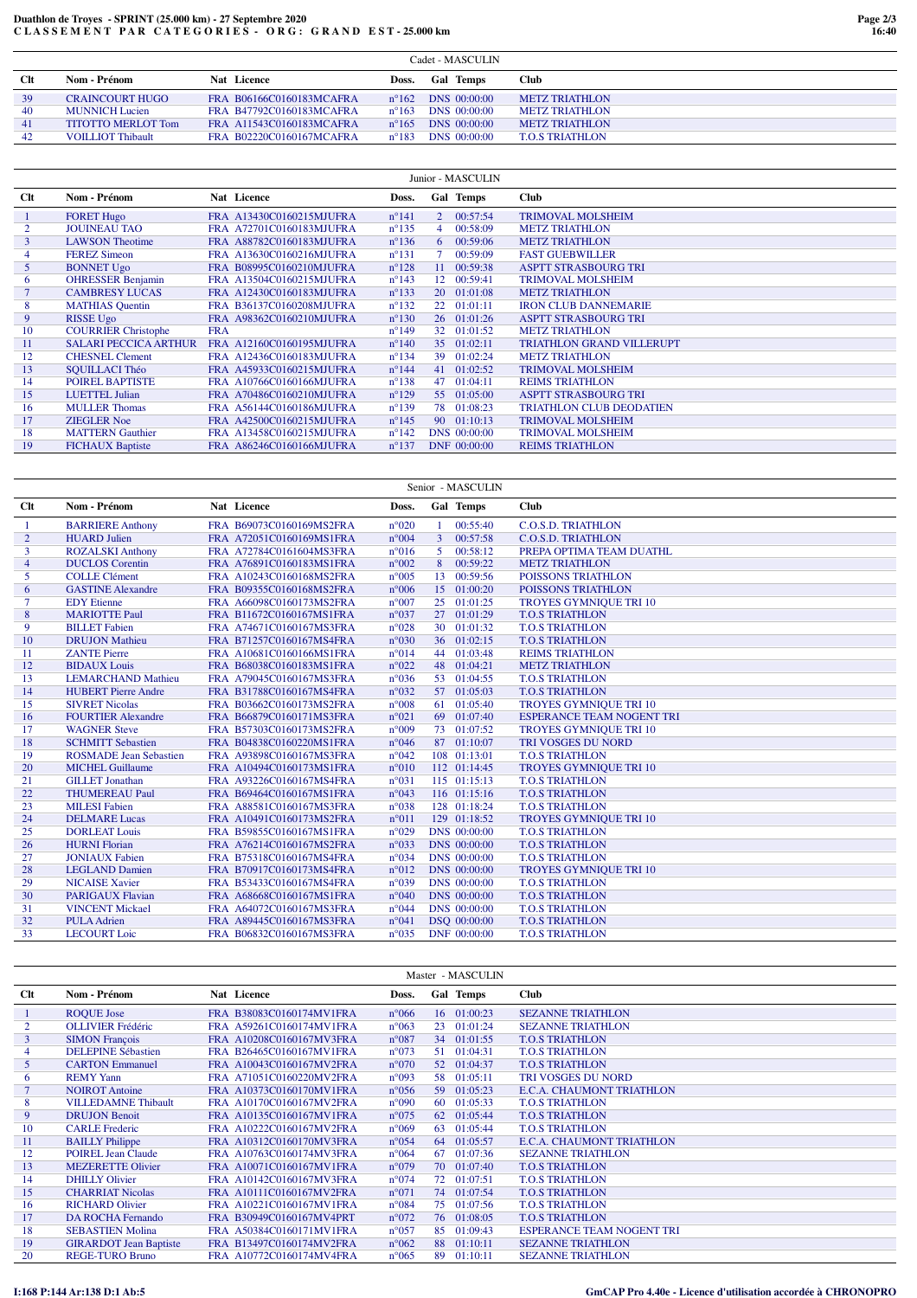## **Duathlon de Troyes - SPRINT (25.000 km) - 27 Septembre 2020 C L A S S E M E N T P A R C A T E G O R I E S - O R G : G R A N D E S T - 25.000 km**

|            | Cadet - MASCULIN          |                          |                |                  |                        |  |  |  |
|------------|---------------------------|--------------------------|----------------|------------------|------------------------|--|--|--|
| <b>Clt</b> | Nom - Prénom              | Nat Licence              | Doss.          | <b>Gal Temps</b> | Club                   |  |  |  |
| 39         | <b>CRAINCOURT HUGO</b>    | FRA B06166C0160183MCAFRA | $n^{\circ}162$ | DNS 00:00:00     | <b>METZ TRIATHLON</b>  |  |  |  |
| 40         | <b>MUNNICH</b> Lucien     | FRA B47792C0160183MCAFRA | $n^{\circ}163$ | DNS 00:00:00     | <b>METZ TRIATHLON</b>  |  |  |  |
| 41         | <b>TITOTTO MERLOT Tom</b> | FRA A11543C0160183MCAFRA | $n^{\circ}165$ | DNS 00:00:00     | <b>METZ TRIATHLON</b>  |  |  |  |
| 42         | <b>VOILLIOT Thibault</b>  | FRA B02220C0160167MCAFRA | $n^{\circ}183$ | DNS 00:00:00     | <b>T.O.S TRIATHLON</b> |  |  |  |

|        |                              |                          |                |             | Junior - MASCULIN |                                  |
|--------|------------------------------|--------------------------|----------------|-------------|-------------------|----------------------------------|
| Clt    | Nom - Prénom                 | Nat Licence              | Doss.          |             | Gal Temps         | <b>Club</b>                      |
| -1     | <b>FORET Hugo</b>            | FRA A13430C0160215MJUFRA | $n^{\circ}141$ | $2^{\circ}$ | 00:57:54          | <b>TRIMOVAL MOLSHEIM</b>         |
|        | <b>JOUINEAU TAO</b>          | FRA A72701C0160183MJUFRA | $n^{\circ}135$ |             | 00:58:09          | <b>METZ TRIATHLON</b>            |
| 3      | <b>LAWSON Theotime</b>       | FRA A88782C0160183MJUFRA | $n^{\circ}136$ | 6           | 00:59:06          | <b>METZ TRIATHLON</b>            |
| 4      | <b>FEREZ Simeon</b>          | FRA A13630C0160216MJUFRA | $n^{\circ}131$ |             | 00:59:09          | <b>FAST GUEBWILLER</b>           |
| 5      | <b>BONNET Ugo</b>            | FRA B08995C0160210MJUFRA | $n^{\circ}128$ | 11          | 00:59:38          | <b>ASPTT STRASBOURG TRI</b>      |
| 6      | <b>OHRESSER Benjamin</b>     | FRA A13504C0160215MJUFRA | $n^{\circ}143$ | $12-12$     | 00:59:41          | <b>TRIMOVAL MOLSHEIM</b>         |
| $\tau$ | <b>CAMBRESY LUCAS</b>        | FRA A12430C0160183MJUFRA | $n^{\circ}133$ |             | 20 01:01:08       | <b>METZ TRIATHLON</b>            |
| 8      | <b>MATHIAS</b> Quentin       | FRA B36137C0160208MJUFRA | $n^{\circ}132$ | 22          | 01:01:11          | <b>IRON CLUB DANNEMARIE</b>      |
| 9      | <b>RISSE Ugo</b>             | FRA A98362C0160210MJUFRA | $n^{\circ}130$ |             | 26 01:01:26       | <b>ASPTT STRASBOURG TRI</b>      |
| 10     | <b>COURRIER Christophe</b>   | <b>FRA</b>               | $n^{\circ}149$ |             | 32 01:01:52       | <b>METZ TRIATHLON</b>            |
| 11     | <b>SALARI PECCICA ARTHUR</b> | FRA A12160C0160195MJUFRA | $n^{\circ}140$ |             | 35 01:02:11       | <b>TRIATHLON GRAND VILLERUPT</b> |
| 12     | <b>CHESNEL Clement</b>       | FRA A12436C0160183MJUFRA | $n^{\circ}134$ | 39          | 01:02:24          | <b>METZ TRIATHLON</b>            |
| 13     | <b>SOUILLACI Théo</b>        | FRA A45933C0160215MJUFRA | $n^{\circ}144$ |             | 41 01:02:52       | <b>TRIMOVAL MOLSHEIM</b>         |
| 14     | POIREL BAPTISTE              | FRA A10766C0160166MJUFRA | $n^{\circ}138$ | 47          | 01:04:11          | <b>REIMS TRIATHLON</b>           |
| 15     | <b>LUETTEL Julian</b>        | FRA A70486C0160210MJUFRA | $n^{\circ}129$ |             | 55 01:05:00       | <b>ASPTT STRASBOURG TRI</b>      |
| 16     | <b>MULLER Thomas</b>         | FRA A56144C0160186MJUFRA | $n^{\circ}139$ |             | 78 01:08:23       | <b>TRIATHLON CLUB DEODATIEN</b>  |
| 17     | <b>ZIEGLER Noe</b>           | FRA A42500C0160215MJUFRA | $n^{\circ}145$ |             | 90 01:10:13       | <b>TRIMOVAL MOLSHEIM</b>         |
| 18     | <b>MATTERN</b> Gauthier      | FRA A13458C0160215MJUFRA | $n^{\circ}142$ |             | DNS 00:00:00      | <b>TRIMOVAL MOLSHEIM</b>         |
| 19     | <b>FICHAUX Baptiste</b>      | FRA A86246C0160166MJUFRA | $n^{\circ}137$ |             | DNF 00:00:00      | <b>REIMS TRIATHLON</b>           |

| Nom - Prénom<br>Gal Temps<br>Clt<br>Nat Licence<br><b>Club</b><br>Doss.<br>$n^{\circ}020$<br>00:55:40<br><b>C.O.S.D. TRIATHLON</b><br><b>BARRIERE Anthony</b><br>FRA B69073C0160169MS2FRA<br>-1<br>$\overline{2}$<br>$n^{\circ}004$<br>$\overline{3}$<br>00:57:58<br><b>C.O.S.D. TRIATHLON</b><br><b>HUARD Julien</b><br>FRA A72051C0160169MS1FRA<br>3<br><b>ROZALSKI Anthony</b><br>$n^{\circ}016$<br>5.<br>00:58:12<br>FRA A72784C0161604MS3FRA<br>PREPA OPTIMA TEAM DUATHL<br>8<br>$n^{\circ}002$<br>00:59:22<br>$\overline{4}$<br><b>DUCLOS</b> Corentin<br>FRA A76891C0160183MS1FRA<br><b>METZ TRIATHLON</b><br>13 00:59:56<br>5<br><b>COLLE Clément</b><br>$n^{\circ}005$<br>POISSONS TRIATHLON<br>FRA A10243C0160168MS2FRA<br>$n^{\circ}006$<br>15 01:00:20<br><b>GASTINE Alexandre</b><br>FRA B09355C0160168MS2FRA<br>POISSONS TRIATHLON<br>6<br>$\overline{7}$<br>$n^{\circ}007$<br>25 01:01:25<br>FRA A66098C0160173MS2FRA<br><b>TROYES GYMNIQUE TRI 10</b><br><b>EDY</b> Etienne<br>8<br><b>MARIOTTE Paul</b><br>$n^{\circ}037$<br>27 01:01:29<br>FRA B11672C0160167MS1FRA<br><b>T.O.S TRIATHLON</b><br>9<br>$n^{\circ}028$<br><b>BILLET</b> Fabien<br>FRA A74671C0160167MS3FRA<br>30 01:01:32<br><b>T.O.S TRIATHLON</b><br>36 01:02:15<br>10<br><b>DRUJON Mathieu</b><br>FRA B71257C0160167MS4FRA<br>$n^{\circ}030$<br><b>T.O.S TRIATHLON</b><br>$n^{\circ}014$<br>44 01:03:48<br><b>ZANTE Pierre</b><br>FRA A10681C0160166MS1FRA<br><b>REIMS TRIATHLON</b><br>11<br>$n^{\circ}022$<br>48 01:04:21<br>12<br><b>BIDAUX</b> Louis<br><b>METZ TRIATHLON</b><br>FRA B68038C0160183MS1FRA<br><b>LEMARCHAND Mathieu</b><br>$n^{\circ}036$<br>53 01:04:55<br>13<br>FRA A79045C0160167MS3FRA<br><b>T.O.S TRIATHLON</b><br>57 01:05:03<br>$n^{\circ}032$<br><b>T.O.S TRIATHLON</b><br>14<br><b>HUBERT Pierre Andre</b><br>FRA B31788C0160167MS4FRA<br>61 01:05:40<br><b>SIVRET Nicolas</b><br>$n^{\circ}008$<br>TROYES GYMNIQUE TRI 10<br>15<br>FRA B03662C0160173MS2FRA<br>69 01:07:40<br>16<br><b>FOURTIER Alexandre</b><br>$n^{\circ}021$<br><b>ESPERANCE TEAM NOGENT TRI</b><br>FRA B66879C0160171MS3FRA<br>73 01:07:52<br>$n^{\circ}009$<br>17<br><b>WAGNER Steve</b><br>FRA B57303C0160173MS2FRA<br><b>TROYES GYMNIQUE TRI 10</b><br>87 01:10:07<br>18<br><b>SCHMITT Sebastien</b><br>FRA B04838C0160220MS1FRA<br>$n^{\circ}046$<br>TRI VOSGES DU NORD<br>108 01:13:01<br>19<br>$n^{\circ}042$<br><b>ROSMADE</b> Jean Sebastien<br>FRA A93898C0160167MS3FRA<br><b>T.O.S TRIATHLON</b><br>20<br>112 01:14:45<br><b>MICHEL Guillaume</b><br>$n^{\circ}010$<br>FRA A10494C0160173MS1FRA<br><b>TROYES GYMNIQUE TRI 10</b><br>115 01:15:13<br>21<br><b>GILLET</b> Jonathan<br>n°031<br><b>T.O.S TRIATHLON</b><br>FRA A93226C0160167MS4FRA<br>22<br>116 01:15:16<br><b>THUMEREAU Paul</b><br>FRA B69464C0160167MS1FRA<br>$n^{\circ}043$<br><b>T.O.S TRIATHLON</b><br>23<br><b>MILESI</b> Fabien<br>$n^{\circ}038$<br>128 01:18:24<br><b>T.O.S TRIATHLON</b><br>FRA A88581C0160167MS3FRA<br>24<br>129 01:18:52<br><b>DELMARE</b> Lucas<br>FRA A10491C0160173MS2FRA<br>$n^{\circ}011$<br><b>TROYES GYMNIQUE TRI 10</b><br>25<br><b>DORLEAT Louis</b><br>$n^{\circ}029$<br>DNS 00:00:00<br><b>T.O.S TRIATHLON</b><br>FRA B59855C0160167MS1FRA<br>26<br>DNS 00:00:00<br><b>HURNI Florian</b><br>FRA A76214C0160167MS2FRA<br>$n^{\circ}033$<br><b>T.O.S TRIATHLON</b><br>27<br>$n^{\circ}034$<br>DNS 00:00:00<br><b>JONIAUX</b> Fabien<br>FRA B75318C0160167MS4FRA<br><b>T.O.S TRIATHLON</b><br>28<br><b>LEGLAND Damien</b><br>FRA B70917C0160173MS4FRA<br>$n^{\circ}012$<br>DNS 00:00:00<br>TROYES GYMNIQUE TRI 10<br>29<br><b>NICAISE Xavier</b><br>$n^{\circ}039$<br>DNS 00:00:00<br><b>T.O.S TRIATHLON</b><br>FRA B53433C0160167MS4FRA<br>30<br><b>PARIGAUX Flavian</b><br>FRA A68668C0160167MS1FRA<br>$n^{\circ}040$<br>DNS 00:00:00<br><b>T.O.S TRIATHLON</b><br>31<br>$n^{\circ}044$<br>DNS 00:00:00<br><b>T.O.S TRIATHLON</b><br><b>VINCENT Mickael</b><br>FRA A64072C0160167MS3FRA<br>32<br><b>PULA Adrien</b><br>DSQ 00:00:00<br>FRA A89445C0160167MS3FRA<br>$n^{\circ}041$<br><b>T.O.S TRIATHLON</b><br><b>LECOURT Loic</b><br>$n^{\circ}035$<br>DNF 00:00:00<br><b>T.O.S TRIATHLON</b><br>33<br>FRA B06832C0160167MS3FRA |  |  |  |  |
|------------------------------------------------------------------------------------------------------------------------------------------------------------------------------------------------------------------------------------------------------------------------------------------------------------------------------------------------------------------------------------------------------------------------------------------------------------------------------------------------------------------------------------------------------------------------------------------------------------------------------------------------------------------------------------------------------------------------------------------------------------------------------------------------------------------------------------------------------------------------------------------------------------------------------------------------------------------------------------------------------------------------------------------------------------------------------------------------------------------------------------------------------------------------------------------------------------------------------------------------------------------------------------------------------------------------------------------------------------------------------------------------------------------------------------------------------------------------------------------------------------------------------------------------------------------------------------------------------------------------------------------------------------------------------------------------------------------------------------------------------------------------------------------------------------------------------------------------------------------------------------------------------------------------------------------------------------------------------------------------------------------------------------------------------------------------------------------------------------------------------------------------------------------------------------------------------------------------------------------------------------------------------------------------------------------------------------------------------------------------------------------------------------------------------------------------------------------------------------------------------------------------------------------------------------------------------------------------------------------------------------------------------------------------------------------------------------------------------------------------------------------------------------------------------------------------------------------------------------------------------------------------------------------------------------------------------------------------------------------------------------------------------------------------------------------------------------------------------------------------------------------------------------------------------------------------------------------------------------------------------------------------------------------------------------------------------------------------------------------------------------------------------------------------------------------------------------------------------------------------------------------------------------------------------------------------------------------------------------------------------------------------------------------------------------------------------------------------------------------------------------------------------------------------------------------------------------------------------------------------------------------------------------------------------------------------------------------------------------------------------------------------------------------------------------------------------------------------------------------------------------------------------------------------------------------------------------------------------------|--|--|--|--|
|                                                                                                                                                                                                                                                                                                                                                                                                                                                                                                                                                                                                                                                                                                                                                                                                                                                                                                                                                                                                                                                                                                                                                                                                                                                                                                                                                                                                                                                                                                                                                                                                                                                                                                                                                                                                                                                                                                                                                                                                                                                                                                                                                                                                                                                                                                                                                                                                                                                                                                                                                                                                                                                                                                                                                                                                                                                                                                                                                                                                                                                                                                                                                                                                                                                                                                                                                                                                                                                                                                                                                                                                                                                                                                                                                                                                                                                                                                                                                                                                                                                                                                                                                                                                                                    |  |  |  |  |
|                                                                                                                                                                                                                                                                                                                                                                                                                                                                                                                                                                                                                                                                                                                                                                                                                                                                                                                                                                                                                                                                                                                                                                                                                                                                                                                                                                                                                                                                                                                                                                                                                                                                                                                                                                                                                                                                                                                                                                                                                                                                                                                                                                                                                                                                                                                                                                                                                                                                                                                                                                                                                                                                                                                                                                                                                                                                                                                                                                                                                                                                                                                                                                                                                                                                                                                                                                                                                                                                                                                                                                                                                                                                                                                                                                                                                                                                                                                                                                                                                                                                                                                                                                                                                                    |  |  |  |  |
|                                                                                                                                                                                                                                                                                                                                                                                                                                                                                                                                                                                                                                                                                                                                                                                                                                                                                                                                                                                                                                                                                                                                                                                                                                                                                                                                                                                                                                                                                                                                                                                                                                                                                                                                                                                                                                                                                                                                                                                                                                                                                                                                                                                                                                                                                                                                                                                                                                                                                                                                                                                                                                                                                                                                                                                                                                                                                                                                                                                                                                                                                                                                                                                                                                                                                                                                                                                                                                                                                                                                                                                                                                                                                                                                                                                                                                                                                                                                                                                                                                                                                                                                                                                                                                    |  |  |  |  |
|                                                                                                                                                                                                                                                                                                                                                                                                                                                                                                                                                                                                                                                                                                                                                                                                                                                                                                                                                                                                                                                                                                                                                                                                                                                                                                                                                                                                                                                                                                                                                                                                                                                                                                                                                                                                                                                                                                                                                                                                                                                                                                                                                                                                                                                                                                                                                                                                                                                                                                                                                                                                                                                                                                                                                                                                                                                                                                                                                                                                                                                                                                                                                                                                                                                                                                                                                                                                                                                                                                                                                                                                                                                                                                                                                                                                                                                                                                                                                                                                                                                                                                                                                                                                                                    |  |  |  |  |
|                                                                                                                                                                                                                                                                                                                                                                                                                                                                                                                                                                                                                                                                                                                                                                                                                                                                                                                                                                                                                                                                                                                                                                                                                                                                                                                                                                                                                                                                                                                                                                                                                                                                                                                                                                                                                                                                                                                                                                                                                                                                                                                                                                                                                                                                                                                                                                                                                                                                                                                                                                                                                                                                                                                                                                                                                                                                                                                                                                                                                                                                                                                                                                                                                                                                                                                                                                                                                                                                                                                                                                                                                                                                                                                                                                                                                                                                                                                                                                                                                                                                                                                                                                                                                                    |  |  |  |  |
|                                                                                                                                                                                                                                                                                                                                                                                                                                                                                                                                                                                                                                                                                                                                                                                                                                                                                                                                                                                                                                                                                                                                                                                                                                                                                                                                                                                                                                                                                                                                                                                                                                                                                                                                                                                                                                                                                                                                                                                                                                                                                                                                                                                                                                                                                                                                                                                                                                                                                                                                                                                                                                                                                                                                                                                                                                                                                                                                                                                                                                                                                                                                                                                                                                                                                                                                                                                                                                                                                                                                                                                                                                                                                                                                                                                                                                                                                                                                                                                                                                                                                                                                                                                                                                    |  |  |  |  |
|                                                                                                                                                                                                                                                                                                                                                                                                                                                                                                                                                                                                                                                                                                                                                                                                                                                                                                                                                                                                                                                                                                                                                                                                                                                                                                                                                                                                                                                                                                                                                                                                                                                                                                                                                                                                                                                                                                                                                                                                                                                                                                                                                                                                                                                                                                                                                                                                                                                                                                                                                                                                                                                                                                                                                                                                                                                                                                                                                                                                                                                                                                                                                                                                                                                                                                                                                                                                                                                                                                                                                                                                                                                                                                                                                                                                                                                                                                                                                                                                                                                                                                                                                                                                                                    |  |  |  |  |
|                                                                                                                                                                                                                                                                                                                                                                                                                                                                                                                                                                                                                                                                                                                                                                                                                                                                                                                                                                                                                                                                                                                                                                                                                                                                                                                                                                                                                                                                                                                                                                                                                                                                                                                                                                                                                                                                                                                                                                                                                                                                                                                                                                                                                                                                                                                                                                                                                                                                                                                                                                                                                                                                                                                                                                                                                                                                                                                                                                                                                                                                                                                                                                                                                                                                                                                                                                                                                                                                                                                                                                                                                                                                                                                                                                                                                                                                                                                                                                                                                                                                                                                                                                                                                                    |  |  |  |  |
|                                                                                                                                                                                                                                                                                                                                                                                                                                                                                                                                                                                                                                                                                                                                                                                                                                                                                                                                                                                                                                                                                                                                                                                                                                                                                                                                                                                                                                                                                                                                                                                                                                                                                                                                                                                                                                                                                                                                                                                                                                                                                                                                                                                                                                                                                                                                                                                                                                                                                                                                                                                                                                                                                                                                                                                                                                                                                                                                                                                                                                                                                                                                                                                                                                                                                                                                                                                                                                                                                                                                                                                                                                                                                                                                                                                                                                                                                                                                                                                                                                                                                                                                                                                                                                    |  |  |  |  |
|                                                                                                                                                                                                                                                                                                                                                                                                                                                                                                                                                                                                                                                                                                                                                                                                                                                                                                                                                                                                                                                                                                                                                                                                                                                                                                                                                                                                                                                                                                                                                                                                                                                                                                                                                                                                                                                                                                                                                                                                                                                                                                                                                                                                                                                                                                                                                                                                                                                                                                                                                                                                                                                                                                                                                                                                                                                                                                                                                                                                                                                                                                                                                                                                                                                                                                                                                                                                                                                                                                                                                                                                                                                                                                                                                                                                                                                                                                                                                                                                                                                                                                                                                                                                                                    |  |  |  |  |
|                                                                                                                                                                                                                                                                                                                                                                                                                                                                                                                                                                                                                                                                                                                                                                                                                                                                                                                                                                                                                                                                                                                                                                                                                                                                                                                                                                                                                                                                                                                                                                                                                                                                                                                                                                                                                                                                                                                                                                                                                                                                                                                                                                                                                                                                                                                                                                                                                                                                                                                                                                                                                                                                                                                                                                                                                                                                                                                                                                                                                                                                                                                                                                                                                                                                                                                                                                                                                                                                                                                                                                                                                                                                                                                                                                                                                                                                                                                                                                                                                                                                                                                                                                                                                                    |  |  |  |  |
|                                                                                                                                                                                                                                                                                                                                                                                                                                                                                                                                                                                                                                                                                                                                                                                                                                                                                                                                                                                                                                                                                                                                                                                                                                                                                                                                                                                                                                                                                                                                                                                                                                                                                                                                                                                                                                                                                                                                                                                                                                                                                                                                                                                                                                                                                                                                                                                                                                                                                                                                                                                                                                                                                                                                                                                                                                                                                                                                                                                                                                                                                                                                                                                                                                                                                                                                                                                                                                                                                                                                                                                                                                                                                                                                                                                                                                                                                                                                                                                                                                                                                                                                                                                                                                    |  |  |  |  |
|                                                                                                                                                                                                                                                                                                                                                                                                                                                                                                                                                                                                                                                                                                                                                                                                                                                                                                                                                                                                                                                                                                                                                                                                                                                                                                                                                                                                                                                                                                                                                                                                                                                                                                                                                                                                                                                                                                                                                                                                                                                                                                                                                                                                                                                                                                                                                                                                                                                                                                                                                                                                                                                                                                                                                                                                                                                                                                                                                                                                                                                                                                                                                                                                                                                                                                                                                                                                                                                                                                                                                                                                                                                                                                                                                                                                                                                                                                                                                                                                                                                                                                                                                                                                                                    |  |  |  |  |
|                                                                                                                                                                                                                                                                                                                                                                                                                                                                                                                                                                                                                                                                                                                                                                                                                                                                                                                                                                                                                                                                                                                                                                                                                                                                                                                                                                                                                                                                                                                                                                                                                                                                                                                                                                                                                                                                                                                                                                                                                                                                                                                                                                                                                                                                                                                                                                                                                                                                                                                                                                                                                                                                                                                                                                                                                                                                                                                                                                                                                                                                                                                                                                                                                                                                                                                                                                                                                                                                                                                                                                                                                                                                                                                                                                                                                                                                                                                                                                                                                                                                                                                                                                                                                                    |  |  |  |  |
|                                                                                                                                                                                                                                                                                                                                                                                                                                                                                                                                                                                                                                                                                                                                                                                                                                                                                                                                                                                                                                                                                                                                                                                                                                                                                                                                                                                                                                                                                                                                                                                                                                                                                                                                                                                                                                                                                                                                                                                                                                                                                                                                                                                                                                                                                                                                                                                                                                                                                                                                                                                                                                                                                                                                                                                                                                                                                                                                                                                                                                                                                                                                                                                                                                                                                                                                                                                                                                                                                                                                                                                                                                                                                                                                                                                                                                                                                                                                                                                                                                                                                                                                                                                                                                    |  |  |  |  |
|                                                                                                                                                                                                                                                                                                                                                                                                                                                                                                                                                                                                                                                                                                                                                                                                                                                                                                                                                                                                                                                                                                                                                                                                                                                                                                                                                                                                                                                                                                                                                                                                                                                                                                                                                                                                                                                                                                                                                                                                                                                                                                                                                                                                                                                                                                                                                                                                                                                                                                                                                                                                                                                                                                                                                                                                                                                                                                                                                                                                                                                                                                                                                                                                                                                                                                                                                                                                                                                                                                                                                                                                                                                                                                                                                                                                                                                                                                                                                                                                                                                                                                                                                                                                                                    |  |  |  |  |
|                                                                                                                                                                                                                                                                                                                                                                                                                                                                                                                                                                                                                                                                                                                                                                                                                                                                                                                                                                                                                                                                                                                                                                                                                                                                                                                                                                                                                                                                                                                                                                                                                                                                                                                                                                                                                                                                                                                                                                                                                                                                                                                                                                                                                                                                                                                                                                                                                                                                                                                                                                                                                                                                                                                                                                                                                                                                                                                                                                                                                                                                                                                                                                                                                                                                                                                                                                                                                                                                                                                                                                                                                                                                                                                                                                                                                                                                                                                                                                                                                                                                                                                                                                                                                                    |  |  |  |  |
|                                                                                                                                                                                                                                                                                                                                                                                                                                                                                                                                                                                                                                                                                                                                                                                                                                                                                                                                                                                                                                                                                                                                                                                                                                                                                                                                                                                                                                                                                                                                                                                                                                                                                                                                                                                                                                                                                                                                                                                                                                                                                                                                                                                                                                                                                                                                                                                                                                                                                                                                                                                                                                                                                                                                                                                                                                                                                                                                                                                                                                                                                                                                                                                                                                                                                                                                                                                                                                                                                                                                                                                                                                                                                                                                                                                                                                                                                                                                                                                                                                                                                                                                                                                                                                    |  |  |  |  |
|                                                                                                                                                                                                                                                                                                                                                                                                                                                                                                                                                                                                                                                                                                                                                                                                                                                                                                                                                                                                                                                                                                                                                                                                                                                                                                                                                                                                                                                                                                                                                                                                                                                                                                                                                                                                                                                                                                                                                                                                                                                                                                                                                                                                                                                                                                                                                                                                                                                                                                                                                                                                                                                                                                                                                                                                                                                                                                                                                                                                                                                                                                                                                                                                                                                                                                                                                                                                                                                                                                                                                                                                                                                                                                                                                                                                                                                                                                                                                                                                                                                                                                                                                                                                                                    |  |  |  |  |
|                                                                                                                                                                                                                                                                                                                                                                                                                                                                                                                                                                                                                                                                                                                                                                                                                                                                                                                                                                                                                                                                                                                                                                                                                                                                                                                                                                                                                                                                                                                                                                                                                                                                                                                                                                                                                                                                                                                                                                                                                                                                                                                                                                                                                                                                                                                                                                                                                                                                                                                                                                                                                                                                                                                                                                                                                                                                                                                                                                                                                                                                                                                                                                                                                                                                                                                                                                                                                                                                                                                                                                                                                                                                                                                                                                                                                                                                                                                                                                                                                                                                                                                                                                                                                                    |  |  |  |  |
|                                                                                                                                                                                                                                                                                                                                                                                                                                                                                                                                                                                                                                                                                                                                                                                                                                                                                                                                                                                                                                                                                                                                                                                                                                                                                                                                                                                                                                                                                                                                                                                                                                                                                                                                                                                                                                                                                                                                                                                                                                                                                                                                                                                                                                                                                                                                                                                                                                                                                                                                                                                                                                                                                                                                                                                                                                                                                                                                                                                                                                                                                                                                                                                                                                                                                                                                                                                                                                                                                                                                                                                                                                                                                                                                                                                                                                                                                                                                                                                                                                                                                                                                                                                                                                    |  |  |  |  |
|                                                                                                                                                                                                                                                                                                                                                                                                                                                                                                                                                                                                                                                                                                                                                                                                                                                                                                                                                                                                                                                                                                                                                                                                                                                                                                                                                                                                                                                                                                                                                                                                                                                                                                                                                                                                                                                                                                                                                                                                                                                                                                                                                                                                                                                                                                                                                                                                                                                                                                                                                                                                                                                                                                                                                                                                                                                                                                                                                                                                                                                                                                                                                                                                                                                                                                                                                                                                                                                                                                                                                                                                                                                                                                                                                                                                                                                                                                                                                                                                                                                                                                                                                                                                                                    |  |  |  |  |
|                                                                                                                                                                                                                                                                                                                                                                                                                                                                                                                                                                                                                                                                                                                                                                                                                                                                                                                                                                                                                                                                                                                                                                                                                                                                                                                                                                                                                                                                                                                                                                                                                                                                                                                                                                                                                                                                                                                                                                                                                                                                                                                                                                                                                                                                                                                                                                                                                                                                                                                                                                                                                                                                                                                                                                                                                                                                                                                                                                                                                                                                                                                                                                                                                                                                                                                                                                                                                                                                                                                                                                                                                                                                                                                                                                                                                                                                                                                                                                                                                                                                                                                                                                                                                                    |  |  |  |  |
|                                                                                                                                                                                                                                                                                                                                                                                                                                                                                                                                                                                                                                                                                                                                                                                                                                                                                                                                                                                                                                                                                                                                                                                                                                                                                                                                                                                                                                                                                                                                                                                                                                                                                                                                                                                                                                                                                                                                                                                                                                                                                                                                                                                                                                                                                                                                                                                                                                                                                                                                                                                                                                                                                                                                                                                                                                                                                                                                                                                                                                                                                                                                                                                                                                                                                                                                                                                                                                                                                                                                                                                                                                                                                                                                                                                                                                                                                                                                                                                                                                                                                                                                                                                                                                    |  |  |  |  |
|                                                                                                                                                                                                                                                                                                                                                                                                                                                                                                                                                                                                                                                                                                                                                                                                                                                                                                                                                                                                                                                                                                                                                                                                                                                                                                                                                                                                                                                                                                                                                                                                                                                                                                                                                                                                                                                                                                                                                                                                                                                                                                                                                                                                                                                                                                                                                                                                                                                                                                                                                                                                                                                                                                                                                                                                                                                                                                                                                                                                                                                                                                                                                                                                                                                                                                                                                                                                                                                                                                                                                                                                                                                                                                                                                                                                                                                                                                                                                                                                                                                                                                                                                                                                                                    |  |  |  |  |
|                                                                                                                                                                                                                                                                                                                                                                                                                                                                                                                                                                                                                                                                                                                                                                                                                                                                                                                                                                                                                                                                                                                                                                                                                                                                                                                                                                                                                                                                                                                                                                                                                                                                                                                                                                                                                                                                                                                                                                                                                                                                                                                                                                                                                                                                                                                                                                                                                                                                                                                                                                                                                                                                                                                                                                                                                                                                                                                                                                                                                                                                                                                                                                                                                                                                                                                                                                                                                                                                                                                                                                                                                                                                                                                                                                                                                                                                                                                                                                                                                                                                                                                                                                                                                                    |  |  |  |  |
|                                                                                                                                                                                                                                                                                                                                                                                                                                                                                                                                                                                                                                                                                                                                                                                                                                                                                                                                                                                                                                                                                                                                                                                                                                                                                                                                                                                                                                                                                                                                                                                                                                                                                                                                                                                                                                                                                                                                                                                                                                                                                                                                                                                                                                                                                                                                                                                                                                                                                                                                                                                                                                                                                                                                                                                                                                                                                                                                                                                                                                                                                                                                                                                                                                                                                                                                                                                                                                                                                                                                                                                                                                                                                                                                                                                                                                                                                                                                                                                                                                                                                                                                                                                                                                    |  |  |  |  |
|                                                                                                                                                                                                                                                                                                                                                                                                                                                                                                                                                                                                                                                                                                                                                                                                                                                                                                                                                                                                                                                                                                                                                                                                                                                                                                                                                                                                                                                                                                                                                                                                                                                                                                                                                                                                                                                                                                                                                                                                                                                                                                                                                                                                                                                                                                                                                                                                                                                                                                                                                                                                                                                                                                                                                                                                                                                                                                                                                                                                                                                                                                                                                                                                                                                                                                                                                                                                                                                                                                                                                                                                                                                                                                                                                                                                                                                                                                                                                                                                                                                                                                                                                                                                                                    |  |  |  |  |
|                                                                                                                                                                                                                                                                                                                                                                                                                                                                                                                                                                                                                                                                                                                                                                                                                                                                                                                                                                                                                                                                                                                                                                                                                                                                                                                                                                                                                                                                                                                                                                                                                                                                                                                                                                                                                                                                                                                                                                                                                                                                                                                                                                                                                                                                                                                                                                                                                                                                                                                                                                                                                                                                                                                                                                                                                                                                                                                                                                                                                                                                                                                                                                                                                                                                                                                                                                                                                                                                                                                                                                                                                                                                                                                                                                                                                                                                                                                                                                                                                                                                                                                                                                                                                                    |  |  |  |  |
|                                                                                                                                                                                                                                                                                                                                                                                                                                                                                                                                                                                                                                                                                                                                                                                                                                                                                                                                                                                                                                                                                                                                                                                                                                                                                                                                                                                                                                                                                                                                                                                                                                                                                                                                                                                                                                                                                                                                                                                                                                                                                                                                                                                                                                                                                                                                                                                                                                                                                                                                                                                                                                                                                                                                                                                                                                                                                                                                                                                                                                                                                                                                                                                                                                                                                                                                                                                                                                                                                                                                                                                                                                                                                                                                                                                                                                                                                                                                                                                                                                                                                                                                                                                                                                    |  |  |  |  |
|                                                                                                                                                                                                                                                                                                                                                                                                                                                                                                                                                                                                                                                                                                                                                                                                                                                                                                                                                                                                                                                                                                                                                                                                                                                                                                                                                                                                                                                                                                                                                                                                                                                                                                                                                                                                                                                                                                                                                                                                                                                                                                                                                                                                                                                                                                                                                                                                                                                                                                                                                                                                                                                                                                                                                                                                                                                                                                                                                                                                                                                                                                                                                                                                                                                                                                                                                                                                                                                                                                                                                                                                                                                                                                                                                                                                                                                                                                                                                                                                                                                                                                                                                                                                                                    |  |  |  |  |
|                                                                                                                                                                                                                                                                                                                                                                                                                                                                                                                                                                                                                                                                                                                                                                                                                                                                                                                                                                                                                                                                                                                                                                                                                                                                                                                                                                                                                                                                                                                                                                                                                                                                                                                                                                                                                                                                                                                                                                                                                                                                                                                                                                                                                                                                                                                                                                                                                                                                                                                                                                                                                                                                                                                                                                                                                                                                                                                                                                                                                                                                                                                                                                                                                                                                                                                                                                                                                                                                                                                                                                                                                                                                                                                                                                                                                                                                                                                                                                                                                                                                                                                                                                                                                                    |  |  |  |  |
|                                                                                                                                                                                                                                                                                                                                                                                                                                                                                                                                                                                                                                                                                                                                                                                                                                                                                                                                                                                                                                                                                                                                                                                                                                                                                                                                                                                                                                                                                                                                                                                                                                                                                                                                                                                                                                                                                                                                                                                                                                                                                                                                                                                                                                                                                                                                                                                                                                                                                                                                                                                                                                                                                                                                                                                                                                                                                                                                                                                                                                                                                                                                                                                                                                                                                                                                                                                                                                                                                                                                                                                                                                                                                                                                                                                                                                                                                                                                                                                                                                                                                                                                                                                                                                    |  |  |  |  |
|                                                                                                                                                                                                                                                                                                                                                                                                                                                                                                                                                                                                                                                                                                                                                                                                                                                                                                                                                                                                                                                                                                                                                                                                                                                                                                                                                                                                                                                                                                                                                                                                                                                                                                                                                                                                                                                                                                                                                                                                                                                                                                                                                                                                                                                                                                                                                                                                                                                                                                                                                                                                                                                                                                                                                                                                                                                                                                                                                                                                                                                                                                                                                                                                                                                                                                                                                                                                                                                                                                                                                                                                                                                                                                                                                                                                                                                                                                                                                                                                                                                                                                                                                                                                                                    |  |  |  |  |

|                |                               |                          |                | Master - MASCULIN |                                  |
|----------------|-------------------------------|--------------------------|----------------|-------------------|----------------------------------|
| <b>Clt</b>     | Nom - Prénom                  | Nat Licence              | Doss.          | Gal Temps         | <b>Club</b>                      |
|                | ROOUE Jose                    | FRA B38083C0160174MV1FRA | $n^{\circ}066$ | 16 01:00:23       | <b>SEZANNE TRIATHLON</b>         |
| $\overline{2}$ | <b>OLLIVIER Frédéric</b>      | FRA A59261C0160174MV1FRA | $n^{\circ}063$ | 23 01:01:24       | <b>SEZANNE TRIATHLON</b>         |
| $\mathbf{3}$   | <b>SIMON François</b>         | FRA A10208C0160167MV3FRA | $n^{\circ}087$ | 34 01:01:55       | <b>T.O.S TRIATHLON</b>           |
| 4              | <b>DELEPINE Sébastien</b>     | FRA B26465C0160167MV1FRA | $n^{\circ}073$ | 51 01:04:31       | <b>T.O.S TRIATHLON</b>           |
| 5              | <b>CARTON</b> Emmanuel        | FRA A10043C0160167MV2FRA | $n^{\circ}070$ | 52 01:04:37       | <b>T.O.S TRIATHLON</b>           |
| 6              | <b>REMY Yann</b>              | FRA A71051C0160220MV2FRA | $n^{\circ}093$ | 58 01:05:11       | <b>TRI VOSGES DU NORD</b>        |
|                | <b>NOIROT</b> Antoine         | FRA A10373C0160170MV1FRA | $n^{\circ}056$ | 59 01:05:23       | <b>E.C.A. CHAUMONT TRIATHLON</b> |
| 8              | <b>VILLEDAMNE Thibault</b>    | FRA A10170C0160167MV2FRA | $n^{\circ}090$ | 60 01:05:33       | <b>T.O.S TRIATHLON</b>           |
| 9              | <b>DRUJON Benoit</b>          | FRA A10135C0160167MV1FRA | $n^{\circ}075$ | 62 01:05:44       | <b>T.O.S TRIATHLON</b>           |
| 10             | <b>CARLE</b> Frederic         | FRA A10222C0160167MV2FRA | $n^{\circ}069$ | 01:05:44<br>63    | <b>T.O.S TRIATHLON</b>           |
| 11             | <b>BAILLY Philippe</b>        | FRA A10312C0160170MV3FRA | $n^{\circ}054$ | 64 01:05:57       | <b>E.C.A. CHAUMONT TRIATHLON</b> |
| 12             | <b>POIREL Jean Claude</b>     | FRA A10763C0160174MV3FRA | $n^{\circ}064$ | 01:07:36<br>67    | <b>SEZANNE TRIATHLON</b>         |
| 13             | <b>MEZERETTE Olivier</b>      | FRA A10071C0160167MV1FRA | $n^{\circ}079$ | 70 01:07:40       | <b>T.O.S TRIATHLON</b>           |
| 14             | <b>DHILLY Olivier</b>         | FRA A10142C0160167MV3FRA | $n^{\circ}074$ | 72 01:07:51       | <b>T.O.S TRIATHLON</b>           |
| 15             | <b>CHARRIAT Nicolas</b>       | FRA A10111C0160167MV2FRA | $n^{\circ}071$ | 74 01:07:54       | <b>T.O.S TRIATHLON</b>           |
| 16             | <b>RICHARD Olivier</b>        | FRA A10221C0160167MV1FRA | $n^{\circ}084$ | 75 01:07:56       | <b>T.O.S TRIATHLON</b>           |
| 17             | DA ROCHA Fernando             | FRA B30949C0160167MV4PRT | $n^{\circ}072$ | 76 01:08:05       | <b>T.O.S TRIATHLON</b>           |
| 18             | <b>SEBASTIEN Molina</b>       | FRA A50384C0160171MV1FRA | $n^{\circ}057$ | 01:09:43<br>85    | <b>ESPERANCE TEAM NOGENT TRI</b> |
| 19             | <b>GIRARDOT Jean Baptiste</b> | FRA B13497C0160174MV2FRA | $n^{\circ}062$ | 88<br>01:10:11    | <b>SEZANNE TRIATHLON</b>         |
| 20             | <b>REGE-TURO Bruno</b>        | FRA A10772C0160174MV4FRA | $n^{\circ}065$ | 89<br>01:10:11    | <b>SEZANNE TRIATHLON</b>         |